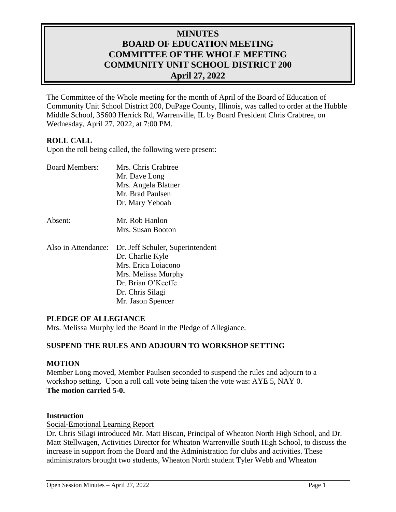# **MINUTES BOARD OF EDUCATION MEETING COMMITTEE OF THE WHOLE MEETING COMMUNITY UNIT SCHOOL DISTRICT 200 April 27, 2022**

The Committee of the Whole meeting for the month of April of the Board of Education of Community Unit School District 200, DuPage County, Illinois, was called to order at the Hubble Middle School, 3S600 Herrick Rd, Warrenville, IL by Board President Chris Crabtree, on Wednesday, April 27, 2022, at 7:00 PM.

## **ROLL CALL**

Upon the roll being called, the following were present:

| <b>Board Members:</b> | Mrs. Chris Crabtree              |
|-----------------------|----------------------------------|
|                       | Mr. Dave Long                    |
|                       | Mrs. Angela Blatner              |
|                       | Mr. Brad Paulsen                 |
|                       | Dr. Mary Yeboah                  |
| Absent:               | Mr. Rob Hanlon                   |
|                       | Mrs. Susan Booton                |
| Also in Attendance:   | Dr. Jeff Schuler, Superintendent |
|                       | Dr. Charlie Kyle                 |
|                       | Mrs. Erica Loiacono              |
|                       | Mrs. Melissa Murphy              |
|                       | Dr. Brian O'Keeffe               |
|                       | Dr. Chris Silagi                 |
|                       | Mr. Jason Spencer                |

#### **PLEDGE OF ALLEGIANCE**

Mrs. Melissa Murphy led the Board in the Pledge of Allegiance.

## **SUSPEND THE RULES AND ADJOURN TO WORKSHOP SETTING**

## **MOTION**

Member Long moved, Member Paulsen seconded to suspend the rules and adjourn to a workshop setting. Upon a roll call vote being taken the vote was: AYE 5, NAY 0. **The motion carried 5-0.**

#### **Instruction**

Social-Emotional Learning Report

Dr. Chris Silagi introduced Mr. Matt Biscan, Principal of Wheaton North High School, and Dr. Matt Stellwagen, Activities Director for Wheaton Warrenville South High School, to discuss the increase in support from the Board and the Administration for clubs and activities. These administrators brought two students, Wheaton North student Tyler Webb and Wheaton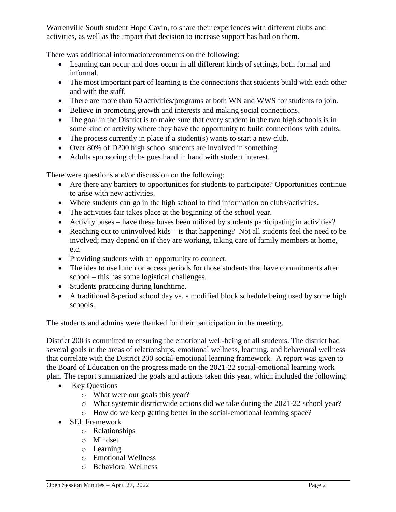Warrenville South student Hope Cavin, to share their experiences with different clubs and activities, as well as the impact that decision to increase support has had on them.

There was additional information/comments on the following:

- Learning can occur and does occur in all different kinds of settings, both formal and informal.
- The most important part of learning is the connections that students build with each other and with the staff.
- There are more than 50 activities/programs at both WN and WWS for students to join.
- Believe in promoting growth and interests and making social connections.
- The goal in the District is to make sure that every student in the two high schools is in some kind of activity where they have the opportunity to build connections with adults.
- $\bullet$  The process currently in place if a student(s) wants to start a new club.
- Over 80% of D200 high school students are involved in something.
- Adults sponsoring clubs goes hand in hand with student interest.

There were questions and/or discussion on the following:

- Are there any barriers to opportunities for students to participate? Opportunities continue to arise with new activities.
- Where students can go in the high school to find information on clubs/activities.
- The activities fair takes place at the beginning of the school year.
- Activity buses have these buses been utilized by students participating in activities?
- Reaching out to uninvolved kids is that happening? Not all students feel the need to be involved; may depend on if they are working, taking care of family members at home, etc.
- Providing students with an opportunity to connect.
- The idea to use lunch or access periods for those students that have commitments after school – this has some logistical challenges.
- Students practicing during lunchtime.
- A traditional 8-period school day vs. a modified block schedule being used by some high schools.

The students and admins were thanked for their participation in the meeting.

District 200 is committed to ensuring the emotional well-being of all students. The district had several goals in the areas of relationships, emotional wellness, learning, and behavioral wellness that correlate with the District 200 social-emotional learning framework. A report was given to the Board of Education on the progress made on the 2021-22 social-emotional learning work plan. The report summarized the goals and actions taken this year, which included the following:

- Key Questions
	- o What were our goals this year?
	- o What systemic districtwide actions did we take during the 2021-22 school year?
	- o How do we keep getting better in the social-emotional learning space?
- SEL Framework
	- o Relationships
	- o Mindset
	- o Learning
	- o Emotional Wellness
	- o Behavioral Wellness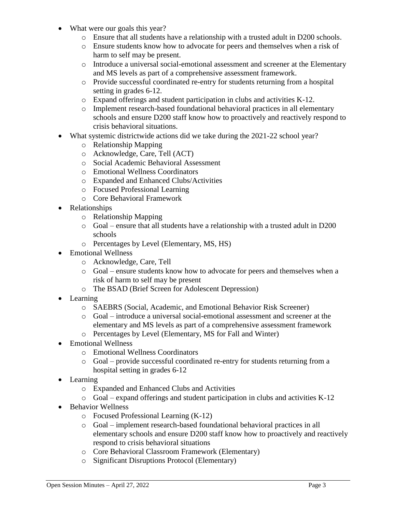- What were our goals this year?
	- o Ensure that all students have a relationship with a trusted adult in D200 schools.
	- o Ensure students know how to advocate for peers and themselves when a risk of harm to self may be present.
	- o Introduce a universal social-emotional assessment and screener at the Elementary and MS levels as part of a comprehensive assessment framework.
	- o Provide successful coordinated re-entry for students returning from a hospital setting in grades 6-12.
	- o Expand offerings and student participation in clubs and activities K-12.
	- o Implement research-based foundational behavioral practices in all elementary schools and ensure D200 staff know how to proactively and reactively respond to crisis behavioral situations.
- What systemic districtwide actions did we take during the 2021-22 school year?
	- o Relationship Mapping
	- o Acknowledge, Care, Tell (ACT)
	- o Social Academic Behavioral Assessment
	- o Emotional Wellness Coordinators
	- o Expanded and Enhanced Clubs/Activities
	- o Focused Professional Learning
	- o Core Behavioral Framework
- Relationships
	- o Relationship Mapping
	- o Goal ensure that all students have a relationship with a trusted adult in D200 schools
	- o Percentages by Level (Elementary, MS, HS)
- Emotional Wellness
	- o Acknowledge, Care, Tell
	- o Goal ensure students know how to advocate for peers and themselves when a risk of harm to self may be present
	- o The BSAD (Brief Screen for Adolescent Depression)
- Learning
	- o SAEBRS (Social, Academic, and Emotional Behavior Risk Screener)
	- o Goal introduce a universal social-emotional assessment and screener at the elementary and MS levels as part of a comprehensive assessment framework
	- o Percentages by Level (Elementary, MS for Fall and Winter)
- Emotional Wellness
	- o Emotional Wellness Coordinators
	- o Goal provide successful coordinated re-entry for students returning from a hospital setting in grades 6-12
- Learning
	- o Expanded and Enhanced Clubs and Activities
	- o Goal expand offerings and student participation in clubs and activities K-12
- Behavior Wellness
	- o Focused Professional Learning (K-12)
	- o Goal implement research-based foundational behavioral practices in all elementary schools and ensure D200 staff know how to proactively and reactively respond to crisis behavioral situations
	- o Core Behavioral Classroom Framework (Elementary)
	- o Significant Disruptions Protocol (Elementary)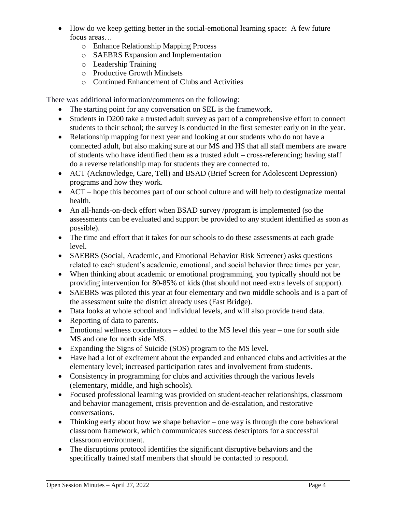- How do we keep getting better in the social-emotional learning space: A few future focus areas…
	- o Enhance Relationship Mapping Process
	- o SAEBRS Expansion and Implementation
	- o Leadership Training
	- o Productive Growth Mindsets
	- o Continued Enhancement of Clubs and Activities

There was additional information/comments on the following:

- The starting point for any conversation on SEL is the framework.
- Students in D200 take a trusted adult survey as part of a comprehensive effort to connect students to their school; the survey is conducted in the first semester early on in the year.
- Relationship mapping for next year and looking at our students who do not have a connected adult, but also making sure at our MS and HS that all staff members are aware of students who have identified them as a trusted adult – cross-referencing; having staff do a reverse relationship map for students they are connected to.
- ACT (Acknowledge, Care, Tell) and BSAD (Brief Screen for Adolescent Depression) programs and how they work.
- ACT hope this becomes part of our school culture and will help to destigmatize mental health.
- An all-hands-on-deck effort when BSAD survey /program is implemented (so the assessments can be evaluated and support be provided to any student identified as soon as possible).
- The time and effort that it takes for our schools to do these assessments at each grade level.
- SAEBRS (Social, Academic, and Emotional Behavior Risk Screener) asks questions related to each student's academic, emotional, and social behavior three times per year.
- When thinking about academic or emotional programming, you typically should not be providing intervention for 80-85% of kids (that should not need extra levels of support).
- SAEBRS was piloted this year at four elementary and two middle schools and is a part of the assessment suite the district already uses (Fast Bridge).
- Data looks at whole school and individual levels, and will also provide trend data.
- Reporting of data to parents.
- Emotional wellness coordinators added to the MS level this year one for south side MS and one for north side MS.
- Expanding the Signs of Suicide (SOS) program to the MS level.
- Have had a lot of excitement about the expanded and enhanced clubs and activities at the elementary level; increased participation rates and involvement from students.
- Consistency in programming for clubs and activities through the various levels (elementary, middle, and high schools).
- Focused professional learning was provided on student-teacher relationships, classroom and behavior management, crisis prevention and de-escalation, and restorative conversations.
- Thinking early about how we shape behavior one way is through the core behavioral classroom framework, which communicates success descriptors for a successful classroom environment.
- The disruptions protocol identifies the significant disruptive behaviors and the specifically trained staff members that should be contacted to respond.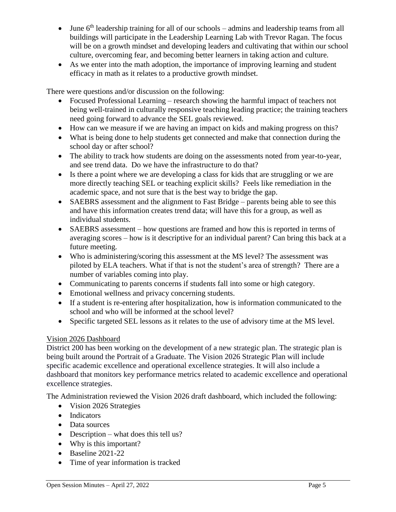- $\bullet$  June 6<sup>th</sup> leadership training for all of our schools admins and leadership teams from all buildings will participate in the Leadership Learning Lab with Trevor Ragan. The focus will be on a growth mindset and developing leaders and cultivating that within our school culture, overcoming fear, and becoming better learners in taking action and culture.
- As we enter into the math adoption, the importance of improving learning and student efficacy in math as it relates to a productive growth mindset.

There were questions and/or discussion on the following:

- Focused Professional Learning research showing the harmful impact of teachers not being well-trained in culturally responsive teaching leading practice; the training teachers need going forward to advance the SEL goals reviewed.
- How can we measure if we are having an impact on kids and making progress on this?
- What is being done to help students get connected and make that connection during the school day or after school?
- The ability to track how students are doing on the assessments noted from year-to-year, and see trend data. Do we have the infrastructure to do that?
- Is there a point where we are developing a class for kids that are struggling or we are more directly teaching SEL or teaching explicit skills? Feels like remediation in the academic space, and not sure that is the best way to bridge the gap.
- SAEBRS assessment and the alignment to Fast Bridge parents being able to see this and have this information creates trend data; will have this for a group, as well as individual students.
- SAEBRS assessment how questions are framed and how this is reported in terms of averaging scores – how is it descriptive for an individual parent? Can bring this back at a future meeting.
- Who is administering/scoring this assessment at the MS level? The assessment was piloted by ELA teachers. What if that is not the student's area of strength? There are a number of variables coming into play.
- Communicating to parents concerns if students fall into some or high category.
- Emotional wellness and privacy concerning students.
- If a student is re-entering after hospitalization, how is information communicated to the school and who will be informed at the school level?
- Specific targeted SEL lessons as it relates to the use of advisory time at the MS level.

## Vision 2026 Dashboard

District 200 has been working on the development of a new strategic plan. The strategic plan is being built around the Portrait of a Graduate. The Vision 2026 Strategic Plan will include specific academic excellence and operational excellence strategies. It will also include a dashboard that monitors key performance metrics related to academic excellence and operational excellence strategies.

The Administration reviewed the Vision 2026 draft dashboard, which included the following:

- Vision 2026 Strategies
- Indicators
- Data sources
- Description what does this tell us?
- Why is this important?
- $\bullet$  Baseline 2021-22
- Time of year information is tracked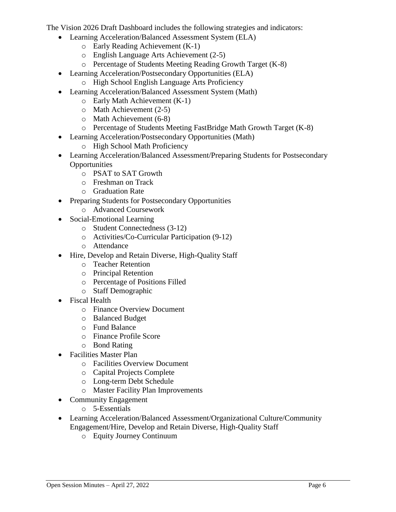The Vision 2026 Draft Dashboard includes the following strategies and indicators:

- Learning Acceleration/Balanced Assessment System (ELA)
	- o Early Reading Achievement (K-1)
	- o English Language Arts Achievement (2-5)
	- o Percentage of Students Meeting Reading Growth Target (K-8)
- Learning Acceleration/Postsecondary Opportunities (ELA)
	- o High School English Language Arts Proficiency
- Learning Acceleration/Balanced Assessment System (Math)
	- o Early Math Achievement (K-1)
	- o Math Achievement (2-5)
	- o Math Achievement (6-8)
	- o Percentage of Students Meeting FastBridge Math Growth Target (K-8)
- Learning Acceleration/Postsecondary Opportunities (Math)
	- o High School Math Proficiency
- Learning Acceleration/Balanced Assessment/Preparing Students for Postsecondary **Opportunities** 
	- o PSAT to SAT Growth
	- o Freshman on Track
	- o Graduation Rate
- Preparing Students for Postsecondary Opportunities
	- o Advanced Coursework
- Social-Emotional Learning
	- o Student Connectedness (3-12)
	- o Activities/Co-Curricular Participation (9-12)
	- o Attendance
- Hire, Develop and Retain Diverse, High-Quality Staff
	- o Teacher Retention
	- o Principal Retention
	- o Percentage of Positions Filled
	- o Staff Demographic
- Fiscal Health
	- o Finance Overview Document
	- o Balanced Budget
	- o Fund Balance
	- o Finance Profile Score
	- o Bond Rating
- Facilities Master Plan
	- o Facilities Overview Document
	- o Capital Projects Complete
	- o Long-term Debt Schedule
	- o Master Facility Plan Improvements
- Community Engagement
	- o 5-Essentials
- Learning Acceleration/Balanced Assessment/Organizational Culture/Community Engagement/Hire, Develop and Retain Diverse, High-Quality Staff
	- o Equity Journey Continuum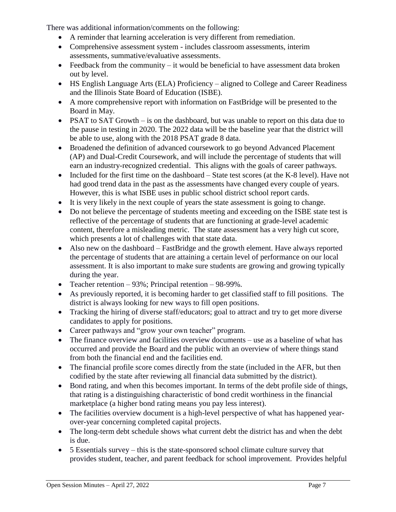There was additional information/comments on the following:

- A reminder that learning acceleration is very different from remediation.
- Comprehensive assessment system includes classroom assessments, interim assessments, summative/evaluative assessments.
- $\bullet$  Feedback from the community it would be beneficial to have assessment data broken out by level.
- HS English Language Arts (ELA) Proficiency aligned to College and Career Readiness and the Illinois State Board of Education (ISBE).
- A more comprehensive report with information on FastBridge will be presented to the Board in May.
- PSAT to SAT Growth is on the dashboard, but was unable to report on this data due to the pause in testing in 2020. The 2022 data will be the baseline year that the district will be able to use, along with the 2018 PSAT grade 8 data.
- Broadened the definition of advanced coursework to go beyond Advanced Placement (AP) and Dual-Credit Coursework, and will include the percentage of students that will earn an industry-recognized credential. This aligns with the goals of career pathways.
- Included for the first time on the dashboard  $-$  State test scores (at the K-8 level). Have not had good trend data in the past as the assessments have changed every couple of years. However, this is what ISBE uses in public school district school report cards.
- It is very likely in the next couple of years the state assessment is going to change.
- Do not believe the percentage of students meeting and exceeding on the ISBE state test is reflective of the percentage of students that are functioning at grade-level academic content, therefore a misleading metric. The state assessment has a very high cut score, which presents a lot of challenges with that state data.
- Also new on the dashboard FastBridge and the growth element. Have always reported the percentage of students that are attaining a certain level of performance on our local assessment. It is also important to make sure students are growing and growing typically during the year.
- Teacher retention 93%; Principal retention 98-99%.
- As previously reported, it is becoming harder to get classified staff to fill positions. The district is always looking for new ways to fill open positions.
- Tracking the hiring of diverse staff/educators; goal to attract and try to get more diverse candidates to apply for positions.
- Career pathways and "grow your own teacher" program.
- The finance overview and facilities overview documents use as a baseline of what has occurred and provide the Board and the public with an overview of where things stand from both the financial end and the facilities end.
- The financial profile score comes directly from the state (included in the AFR, but then codified by the state after reviewing all financial data submitted by the district).
- Bond rating, and when this becomes important. In terms of the debt profile side of things, that rating is a distinguishing characteristic of bond credit worthiness in the financial marketplace (a higher bond rating means you pay less interest).
- The facilities overview document is a high-level perspective of what has happened yearover-year concerning completed capital projects.
- The long-term debt schedule shows what current debt the district has and when the debt is due.
- 5 Essentials survey this is the state-sponsored school climate culture survey that provides student, teacher, and parent feedback for school improvement. Provides helpful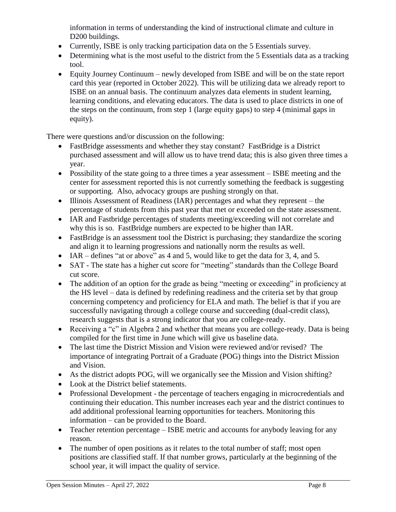information in terms of understanding the kind of instructional climate and culture in D<sub>200</sub> buildings.

- Currently, ISBE is only tracking participation data on the 5 Essentials survey.
- Determining what is the most useful to the district from the 5 Essentials data as a tracking tool.
- Equity Journey Continuum newly developed from ISBE and will be on the state report card this year (reported in October 2022). This will be utilizing data we already report to ISBE on an annual basis. The continuum analyzes data elements in student learning, learning conditions, and elevating educators. The data is used to place districts in one of the steps on the continuum, from step 1 (large equity gaps) to step 4 (minimal gaps in equity).

There were questions and/or discussion on the following:

- FastBridge assessments and whether they stay constant? FastBridge is a District purchased assessment and will allow us to have trend data; this is also given three times a year.
- Possibility of the state going to a three times a year assessment ISBE meeting and the center for assessment reported this is not currently something the feedback is suggesting or supporting. Also, advocacy groups are pushing strongly on that.
- Illinois Assessment of Readiness (IAR) percentages and what they represent the percentage of students from this past year that met or exceeded on the state assessment.
- IAR and Fastbridge percentages of students meeting/exceeding will not correlate and why this is so. FastBridge numbers are expected to be higher than IAR.
- FastBridge is an assessment tool the District is purchasing; they standardize the scoring and align it to learning progressions and nationally norm the results as well.
- IAR defines "at or above" as 4 and 5, would like to get the data for 3, 4, and 5.
- SAT The state has a higher cut score for "meeting" standards than the College Board cut score.
- The addition of an option for the grade as being "meeting or exceeding" in proficiency at the HS level – data is defined by redefining readiness and the criteria set by that group concerning competency and proficiency for ELA and math. The belief is that if you are successfully navigating through a college course and succeeding (dual-credit class), research suggests that is a strong indicator that you are college-ready.
- Receiving a "c" in Algebra 2 and whether that means you are college-ready. Data is being compiled for the first time in June which will give us baseline data.
- The last time the District Mission and Vision were reviewed and/or revised? The importance of integrating Portrait of a Graduate (POG) things into the District Mission and Vision.
- As the district adopts POG, will we organically see the Mission and Vision shifting?
- Look at the District belief statements.
- Professional Development the percentage of teachers engaging in microcredentials and continuing their education. This number increases each year and the district continues to add additional professional learning opportunities for teachers. Monitoring this information – can be provided to the Board.
- Teacher retention percentage ISBE metric and accounts for anybody leaving for any reason.
- The number of open positions as it relates to the total number of staff; most open positions are classified staff. If that number grows, particularly at the beginning of the school year, it will impact the quality of service.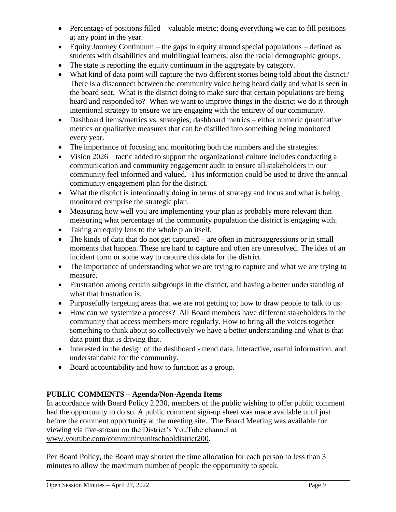- Percentage of positions filled valuable metric; doing everything we can to fill positions at any point in the year.
- $\bullet$  Equity Journey Continuum the gaps in equity around special populations defined as students with disabilities and multilingual learners; also the racial demographic groups.
- The state is reporting the equity continuum in the aggregate by category.
- What kind of data point will capture the two different stories being told about the district? There is a disconnect between the community voice being heard daily and what is seen in the board seat. What is the district doing to make sure that certain populations are being heard and responded to? When we want to improve things in the district we do it through intentional strategy to ensure we are engaging with the entirety of our community.
- Dashboard items/metrics vs. strategies; dashboard metrics either numeric quantitative metrics or qualitative measures that can be distilled into something being monitored every year.
- The importance of focusing and monitoring both the numbers and the strategies.
- Vision 2026 tactic added to support the organizational culture includes conducting a communication and community engagement audit to ensure all stakeholders in our community feel informed and valued. This information could be used to drive the annual community engagement plan for the district.
- What the district is intentionally doing in terms of strategy and focus and what is being monitored comprise the strategic plan.
- Measuring how well you are implementing your plan is probably more relevant than measuring what percentage of the community population the district is engaging with.
- Taking an equity lens to the whole plan itself.
- The kinds of data that do not get captured are often in microaggressions or in small moments that happen. These are hard to capture and often are unresolved. The idea of an incident form or some way to capture this data for the district.
- The importance of understanding what we are trying to capture and what we are trying to measure.
- Frustration among certain subgroups in the district, and having a better understanding of what that frustration is.
- Purposefully targeting areas that we are not getting to; how to draw people to talk to us.
- How can we systemize a process? All Board members have different stakeholders in the community that access members more regularly. How to bring all the voices together – something to think about so collectively we have a better understanding and what is that data point that is driving that.
- Interested in the design of the dashboard trend data, interactive, useful information, and understandable for the community.
- Board accountability and how to function as a group.

## **PUBLIC COMMENTS – Agenda/Non-Agenda Items**

In accordance with Board Policy 2.230, members of the public wishing to offer public comment had the opportunity to do so. A public comment sign-up sheet was made available until just before the comment opportunity at the meeting site. The Board Meeting was available for viewing via live-stream on the District's YouTube channel at [www.youtube.com/communityunitschooldistrict200.](http://www.youtube.com/communityunitschooldistrict200)

Per Board Policy, the Board may shorten the time allocation for each person to less than 3 minutes to allow the maximum number of people the opportunity to speak.